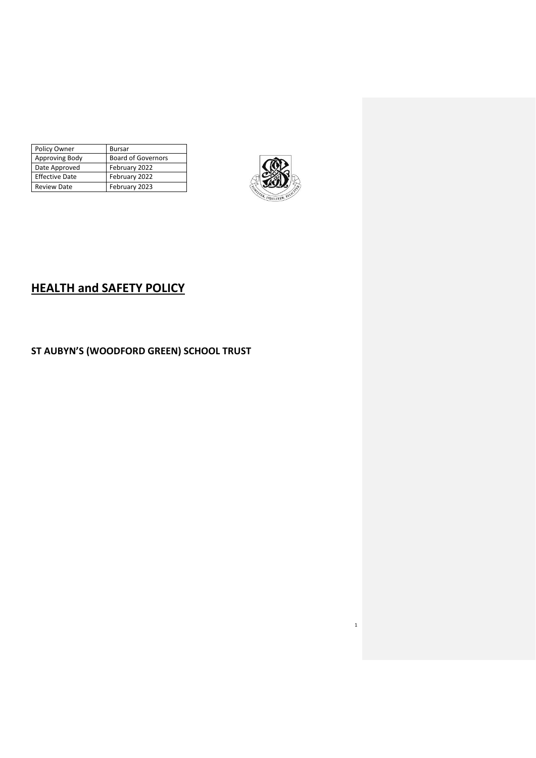| Policy Owner          | <b>Bursar</b>             |
|-----------------------|---------------------------|
| Approving Body        | <b>Board of Governors</b> |
| Date Approved         | February 2022             |
| <b>Effective Date</b> | February 2022             |
| <b>Review Date</b>    | February 2023             |



1

# **HEALTH and SAFETY POLICY**

## **ST AUBYN'S (WOODFORD GREEN) SCHOOL TRUST**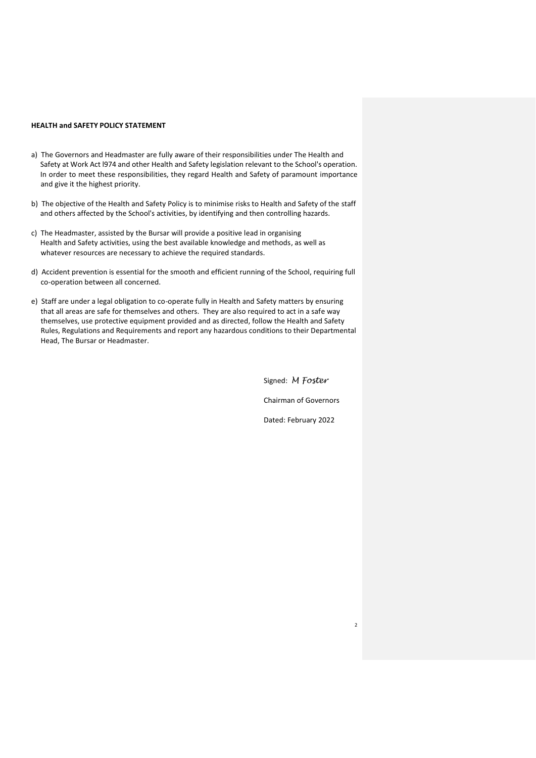#### **HEALTH and SAFETY POLICY STATEMENT**

- a) The Governors and Headmaster are fully aware of their responsibilities under The Health and Safety at Work Act l974 and other Health and Safety legislation relevant to the School's operation. In order to meet these responsibilities, they regard Health and Safety of paramount importance and give it the highest priority.
- b) The objective of the Health and Safety Policy is to minimise risks to Health and Safety of the staff and others affected by the School's activities, by identifying and then controlling hazards.
- c) The Headmaster, assisted by the Bursar will provide a positive lead in organising Health and Safety activities, using the best available knowledge and methods, as well as whatever resources are necessary to achieve the required standards.
- d) Accident prevention is essential for the smooth and efficient running of the School, requiring full co-operation between all concerned.
- e) Staff are under a legal obligation to co-operate fully in Health and Safety matters by ensuring that all areas are safe for themselves and others. They are also required to act in a safe way themselves, use protective equipment provided and as directed, follow the Health and Safety Rules, Regulations and Requirements and report any hazardous conditions to their Departmental Head, The Bursar or Headmaster.

Signed: *M Foster* Chairman of Governors Dated: February 2022

2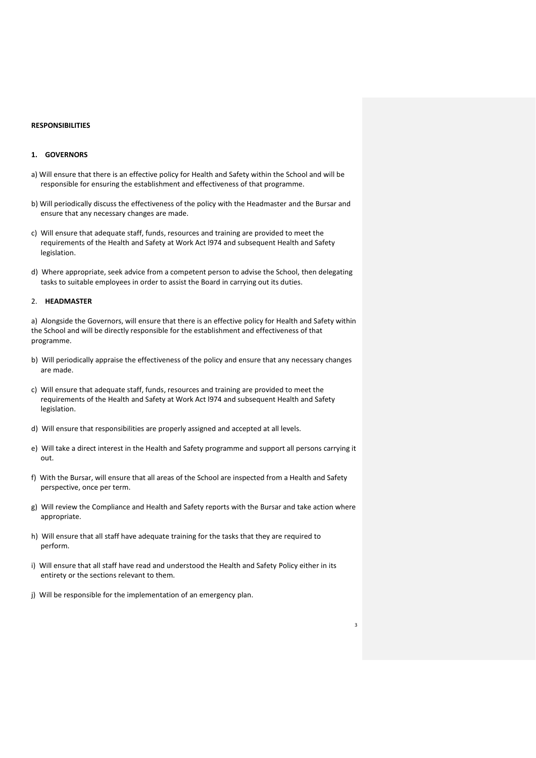#### **RESPONSIBILITIES**

## **1. GOVERNORS**

- a) Will ensure that there is an effective policy for Health and Safety within the School and will be responsible for ensuring the establishment and effectiveness of that programme.
- b) Will periodically discuss the effectiveness of the policy with the Headmaster and the Bursar and ensure that any necessary changes are made.
- c) Will ensure that adequate staff, funds, resources and training are provided to meet the requirements of the Health and Safety at Work Act l974 and subsequent Health and Safety legislation.
- d) Where appropriate, seek advice from a competent person to advise the School, then delegating tasks to suitable employees in order to assist the Board in carrying out its duties.

#### 2. **HEADMASTER**

a) Alongside the Governors, will ensure that there is an effective policy for Health and Safety within the School and will be directly responsible for the establishment and effectiveness of that programme.

- b) Will periodically appraise the effectiveness of the policy and ensure that any necessary changes are made.
- c) Will ensure that adequate staff, funds, resources and training are provided to meet the requirements of the Health and Safety at Work Act l974 and subsequent Health and Safety legislation.
- d) Will ensure that responsibilities are properly assigned and accepted at all levels.
- e) Will take a direct interest in the Health and Safety programme and support all persons carrying it out.
- f) With the Bursar, will ensure that all areas of the School are inspected from a Health and Safety perspective, once per term.
- g) Will review the Compliance and Health and Safety reports with the Bursar and take action where appropriate.
- h) Will ensure that all staff have adequate training for the tasks that they are required to perform.
- i) Will ensure that all staff have read and understood the Health and Safety Policy either in its entirety or the sections relevant to them.

3

j) Will be responsible for the implementation of an emergency plan.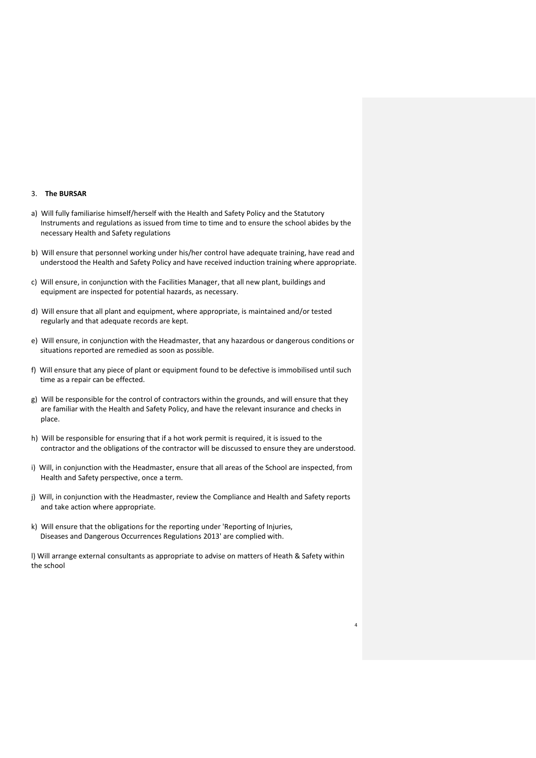#### 3. **The BURSAR**

- a) Will fully familiarise himself/herself with the Health and Safety Policy and the Statutory Instruments and regulations as issued from time to time and to ensure the school abides by the necessary Health and Safety regulations
- b) Will ensure that personnel working under his/her control have adequate training, have read and understood the Health and Safety Policy and have received induction training where appropriate.
- c) Will ensure, in conjunction with the Facilities Manager, that all new plant, buildings and equipment are inspected for potential hazards, as necessary.
- d) Will ensure that all plant and equipment, where appropriate, is maintained and/or tested regularly and that adequate records are kept.
- e) Will ensure, in conjunction with the Headmaster, that any hazardous or dangerous conditions or situations reported are remedied as soon as possible.
- f) Will ensure that any piece of plant or equipment found to be defective is immobilised until such time as a repair can be effected.
- g) Will be responsible for the control of contractors within the grounds, and will ensure that they are familiar with the Health and Safety Policy, and have the relevant insurance and checks in place.
- h) Will be responsible for ensuring that if a hot work permit is required, it is issued to the contractor and the obligations of the contractor will be discussed to ensure they are understood.
- i) Will, in conjunction with the Headmaster, ensure that all areas of the School are inspected, from Health and Safety perspective, once a term.
- j) Will, in conjunction with the Headmaster, review the Compliance and Health and Safety reports and take action where appropriate.
- k) Will ensure that the obligations for the reporting under 'Reporting of Injuries, Diseases and Dangerous Occurrences Regulations 2013' are complied with.

l) Will arrange external consultants as appropriate to advise on matters of Heath & Safety within the school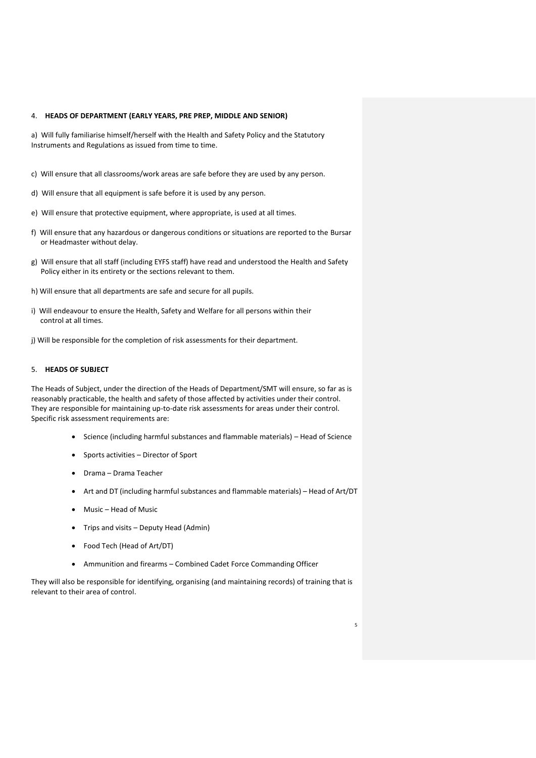#### 4. **HEADS OF DEPARTMENT (EARLY YEARS, PRE PREP, MIDDLE AND SENIOR)**

a) Will fully familiarise himself/herself with the Health and Safety Policy and the Statutory Instruments and Regulations as issued from time to time.

- c) Will ensure that all classrooms/work areas are safe before they are used by any person.
- d) Will ensure that all equipment is safe before it is used by any person.
- e) Will ensure that protective equipment, where appropriate, is used at all times.
- f) Will ensure that any hazardous or dangerous conditions or situations are reported to the Bursar or Headmaster without delay.
- g) Will ensure that all staff (including EYFS staff) have read and understood the Health and Safety Policy either in its entirety or the sections relevant to them.
- h) Will ensure that all departments are safe and secure for all pupils.
- i) Will endeavour to ensure the Health, Safety and Welfare for all persons within their control at all times.
- j) Will be responsible for the completion of risk assessments for their department.

## 5. **HEADS OF SUBJECT**

The Heads of Subject, under the direction of the Heads of Department/SMT will ensure, so far as is reasonably practicable, the health and safety of those affected by activities under their control. They are responsible for maintaining up-to-date risk assessments for areas under their control. Specific risk assessment requirements are:

- Science (including harmful substances and flammable materials) Head of Science
- Sports activities Director of Sport
- Drama Drama Teacher
- Art and DT (including harmful substances and flammable materials) Head of Art/DT
- Music Head of Music
- Trips and visits Deputy Head (Admin)
- Food Tech (Head of Art/DT)
- Ammunition and firearms Combined Cadet Force Commanding Officer

They will also be responsible for identifying, organising (and maintaining records) of training that is relevant to their area of control.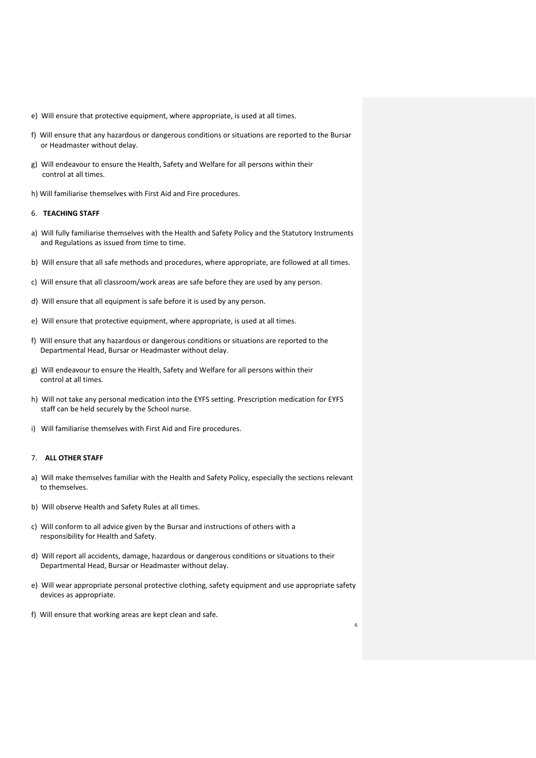- e) Will ensure that protective equipment, where appropriate, is used at all times.
- f) Will ensure that any hazardous or dangerous conditions or situations are reported to the Bursar or Headmaster without delay.
- g) Will endeavour to ensure the Health, Safety and Welfare for all persons within their control at all times.
- h) Will familiarise themselves with First Aid and Fire procedures.

## 6. **TEACHING STAFF**

- a) Will fully familiarise themselves with the Health and Safety Policy and the Statutory Instruments and Regulations as issued from time to time.
- b) Will ensure that all safe methods and procedures, where appropriate, are followed at all times.
- c) Will ensure that all classroom/work areas are safe before they are used by any person.
- d) Will ensure that all equipment is safe before it is used by any person.
- e) Will ensure that protective equipment, where appropriate, is used at all times.
- f) Will ensure that any hazardous or dangerous conditions or situations are reported to the Departmental Head, Bursar or Headmaster without delay.
- g) Will endeavour to ensure the Health, Safety and Welfare for all persons within their control at all times.
- h) Will not take any personal medication into the EYFS setting. Prescription medication for EYFS staff can be held securely by the School nurse.
- i) Will familiarise themselves with First Aid and Fire procedures.

## 7. **ALL OTHER STAFF**

- a) Will make themselves familiar with the Health and Safety Policy, especially the sections relevant to themselves.
- b) Will observe Health and Safety Rules at all times.
- c) Will conform to all advice given by the Bursar and instructions of others with a responsibility for Health and Safety.
- d) Will report all accidents, damage, hazardous or dangerous conditions or situations to their Departmental Head, Bursar or Headmaster without delay.
- e) Will wear appropriate personal protective clothing, safety equipment and use appropriate safety devices as appropriate.
- f) Will ensure that working areas are kept clean and safe.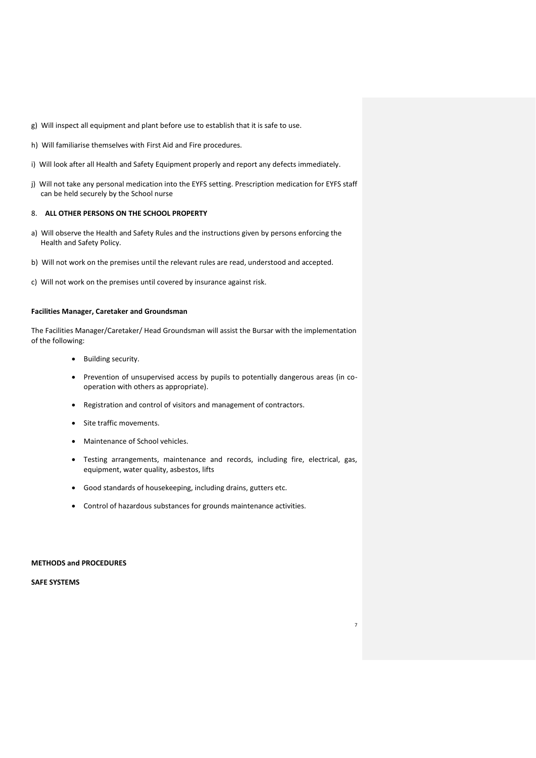- g) Will inspect all equipment and plant before use to establish that it is safe to use.
- h) Will familiarise themselves with First Aid and Fire procedures.
- i) Will look after all Health and Safety Equipment properly and report any defects immediately.
- j) Will not take any personal medication into the EYFS setting. Prescription medication for EYFS staff can be held securely by the School nurse

## 8. **ALL OTHER PERSONS ON THE SCHOOL PROPERTY**

- a) Will observe the Health and Safety Rules and the instructions given by persons enforcing the Health and Safety Policy.
- b) Will not work on the premises until the relevant rules are read, understood and accepted.
- c) Will not work on the premises until covered by insurance against risk.

#### **Facilities Manager, Caretaker and Groundsman**

The Facilities Manager/Caretaker/ Head Groundsman will assist the Bursar with the implementation of the following:

- Building security.
- Prevention of unsupervised access by pupils to potentially dangerous areas (in cooperation with others as appropriate).
- Registration and control of visitors and management of contractors.
- Site traffic movements.
- Maintenance of School vehicles.
- Testing arrangements, maintenance and records, including fire, electrical, gas, equipment, water quality, asbestos, lifts

7

- Good standards of housekeeping, including drains, gutters etc.
- Control of hazardous substances for grounds maintenance activities.

#### **METHODS and PROCEDURES**

**SAFE SYSTEMS**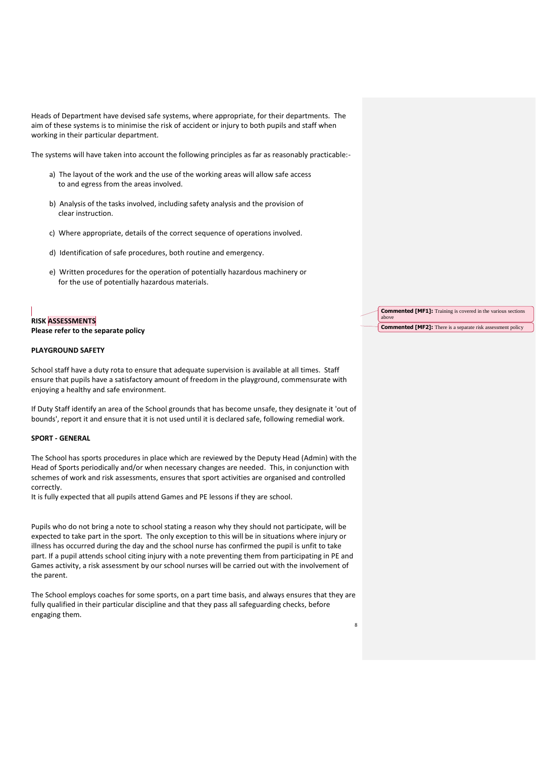Heads of Department have devised safe systems, where appropriate, for their departments. The aim of these systems is to minimise the risk of accident or injury to both pupils and staff when working in their particular department.

The systems will have taken into account the following principles as far as reasonably practicable:-

- a) The layout of the work and the use of the working areas will allow safe access to and egress from the areas involved.
- b) Analysis of the tasks involved, including safety analysis and the provision of clear instruction.
- c) Where appropriate, details of the correct sequence of operations involved.
- d) Identification of safe procedures, both routine and emergency.
- e) Written procedures for the operation of potentially hazardous machinery or for the use of potentially hazardous materials.

## **RISK ASSESSMENTS Please refer to the separate policy**

## **PLAYGROUND SAFETY**

School staff have a duty rota to ensure that adequate supervision is available at all times. Staff ensure that pupils have a satisfactory amount of freedom in the playground, commensurate with enjoying a healthy and safe environment.

If Duty Staff identify an area of the School grounds that has become unsafe, they designate it 'out of bounds', report it and ensure that it is not used until it is declared safe, following remedial work.

#### **SPORT - GENERAL**

The School has sports procedures in place which are reviewed by the Deputy Head (Admin) with the Head of Sports periodically and/or when necessary changes are needed. This, in conjunction with schemes of work and risk assessments, ensures that sport activities are organised and controlled correctly.

It is fully expected that all pupils attend Games and PE lessons if they are school.

Pupils who do not bring a note to school stating a reason why they should not participate, will be expected to take part in the sport. The only exception to this will be in situations where injury or illness has occurred during the day and the school nurse has confirmed the pupil is unfit to take part. If a pupil attends school citing injury with a note preventing them from participating in PE and Games activity, a risk assessment by our school nurses will be carried out with the involvement of the parent.

The School employs coaches for some sports, on a part time basis, and always ensures that they are fully qualified in their particular discipline and that they pass all safeguarding checks, before engaging them.

| <b>Commented [MF1]:</b> Training is covered in the various sections<br>above |
|------------------------------------------------------------------------------|
| <b>Commented [MF2]:</b> There is a separate risk assessment policy           |

8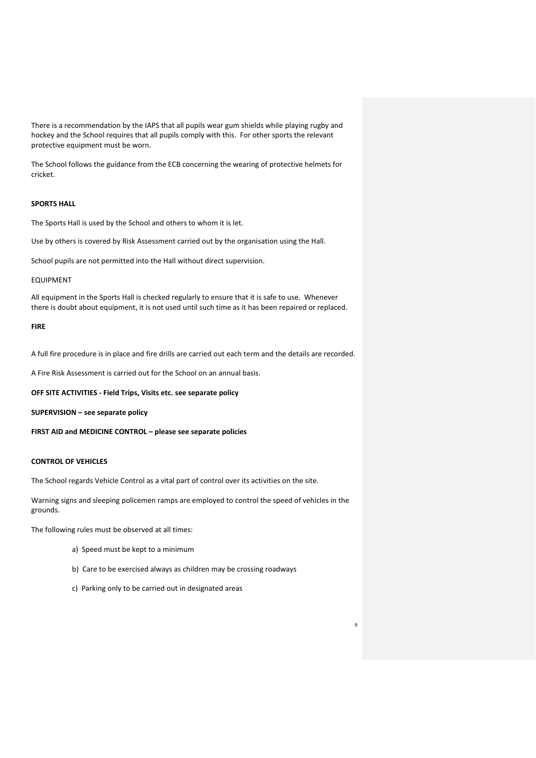There is a recommendation by the IAPS that all pupils wear gum shields while playing rugby and hockey and the School requires that all pupils comply with this. For other sports the relevant protective equipment must be worn.

The School follows the guidance from the ECB concerning the wearing of protective helmets for cricket.

## **SPORTS HALL**

The Sports Hall is used by the School and others to whom it is let.

Use by others is covered by Risk Assessment carried out by the organisation using the Hall.

School pupils are not permitted into the Hall without direct supervision.

#### EQUIPMENT

All equipment in the Sports Hall is checked regularly to ensure that it is safe to use. Whenever there is doubt about equipment, it is not used until such time as it has been repaired or replaced.

#### **FIRE**

A full fire procedure is in place and fire drills are carried out each term and the details are recorded.

A Fire Risk Assessment is carried out for the School on an annual basis.

#### **OFF SITE ACTIVITIES - Field Trips, Visits etc. see separate policy**

**SUPERVISION – see separate policy**

**FIRST AID and MEDICINE CONTROL – please see separate policies**

## **CONTROL OF VEHICLES**

The School regards Vehicle Control as a vital part of control over its activities on the site.

Warning signs and sleeping policemen ramps are employed to control the speed of vehicles in the grounds.

The following rules must be observed at all times:

- a) Speed must be kept to a minimum
- b) Care to be exercised always as children may be crossing roadways

9

c) Parking only to be carried out in designated areas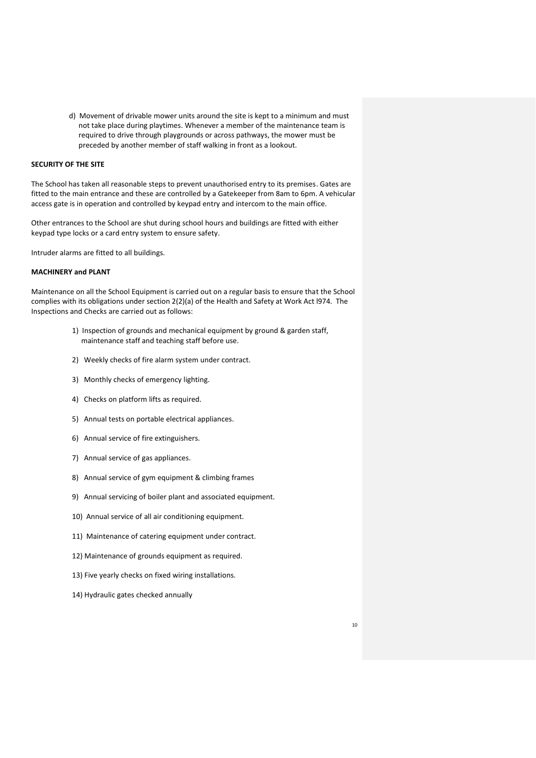d) Movement of drivable mower units around the site is kept to a minimum and must not take place during playtimes. Whenever a member of the maintenance team is required to drive through playgrounds or across pathways, the mower must be preceded by another member of staff walking in front as a lookout.

## **SECURITY OF THE SITE**

The School has taken all reasonable steps to prevent unauthorised entry to its premises. Gates are fitted to the main entrance and these are controlled by a Gatekeeper from 8am to 6pm. A vehicular access gate is in operation and controlled by keypad entry and intercom to the main office.

Other entrances to the School are shut during school hours and buildings are fitted with either keypad type locks or a card entry system to ensure safety.

Intruder alarms are fitted to all buildings.

## **MACHINERY and PLANT**

Maintenance on all the School Equipment is carried out on a regular basis to ensure that the School complies with its obligations under section 2(2)(a) of the Health and Safety at Work Act l974. The Inspections and Checks are carried out as follows:

- 1) Inspection of grounds and mechanical equipment by ground & garden staff, maintenance staff and teaching staff before use.
- 2) Weekly checks of fire alarm system under contract.
- 3) Monthly checks of emergency lighting.
- 4) Checks on platform lifts as required.
- 5) Annual tests on portable electrical appliances.
- 6) Annual service of fire extinguishers.
- 7) Annual service of gas appliances.
- 8) Annual service of gym equipment & climbing frames
- 9) Annual servicing of boiler plant and associated equipment.
- 10) Annual service of all air conditioning equipment.
- 11) Maintenance of catering equipment under contract.
- 12) Maintenance of grounds equipment as required.
- 13) Five yearly checks on fixed wiring installations.
- 14) Hydraulic gates checked annually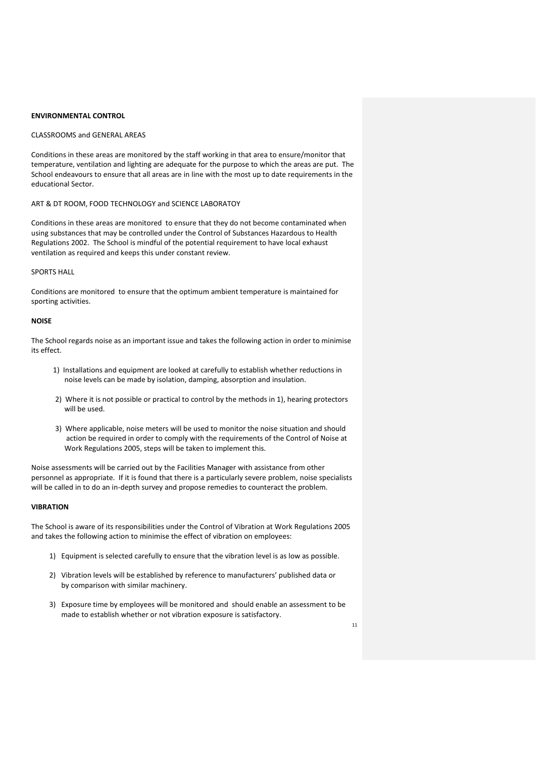#### **ENVIRONMENTAL CONTROL**

## CLASSROOMS and GENERAL AREAS

Conditions in these areas are monitored by the staff working in that area to ensure/monitor that temperature, ventilation and lighting are adequate for the purpose to which the areas are put. The School endeavours to ensure that all areas are in line with the most up to date requirements in the educational Sector.

#### ART & DT ROOM, FOOD TECHNOLOGY and SCIENCE LABORATOY

Conditions in these areas are monitored to ensure that they do not become contaminated when using substances that may be controlled under the Control of Substances Hazardous to Health Regulations 2002. The School is mindful of the potential requirement to have local exhaust ventilation as required and keeps this under constant review.

#### SPORTS HALL

Conditions are monitored to ensure that the optimum ambient temperature is maintained for sporting activities.

#### **NOISE**

The School regards noise as an important issue and takes the following action in order to minimise its effect.

- 1) Installations and equipment are looked at carefully to establish whether reductions in noise levels can be made by isolation, damping, absorption and insulation.
- 2) Where it is not possible or practical to control by the methods in 1), hearing protectors will be used.
- 3) Where applicable, noise meters will be used to monitor the noise situation and should action be required in order to comply with the requirements of the Control of Noise at Work Regulations 2005, steps will be taken to implement this.

Noise assessments will be carried out by the Facilities Manager with assistance from other personnel as appropriate. If it is found that there is a particularly severe problem, noise specialists will be called in to do an in-depth survey and propose remedies to counteract the problem.

#### **VIBRATION**

The School is aware of its responsibilities under the Control of Vibration at Work Regulations 2005 and takes the following action to minimise the effect of vibration on employees:

- 1) Equipment is selected carefully to ensure that the vibration level is as low as possible.
- 2) Vibration levels will be established by reference to manufacturers' published data or by comparison with similar machinery.
- 3) Exposure time by employees will be monitored and should enable an assessment to be made to establish whether or not vibration exposure is satisfactory.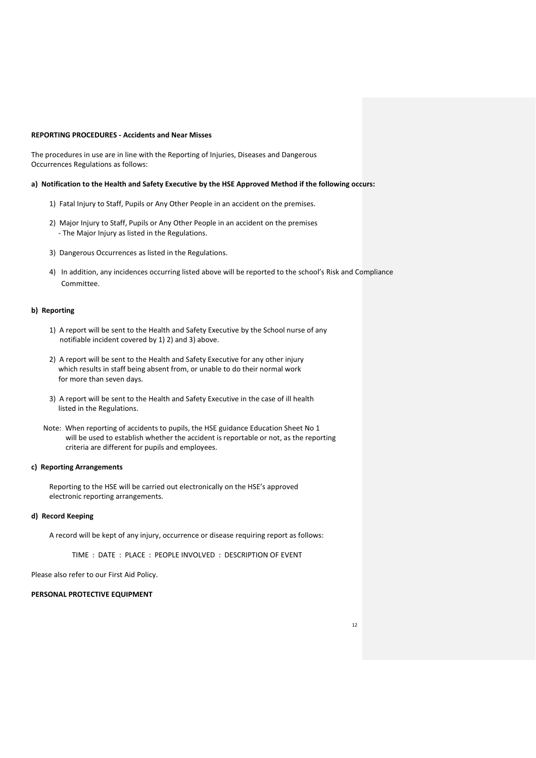## **REPORTING PROCEDURES - Accidents and Near Misses**

The procedures in use are in line with the Reporting of Injuries, Diseases and Dangerous Occurrences Regulations as follows:

#### **a) Notification to the Health and Safety Executive by the HSE Approved Method if the following occurs:**

- 1) Fatal Injury to Staff, Pupils or Any Other People in an accident on the premises.
- 2) Major Injury to Staff, Pupils or Any Other People in an accident on the premises - The Major Injury as listed in the Regulations.
- 3) Dangerous Occurrences as listed in the Regulations.
- 4) In addition, any incidences occurring listed above will be reported to the school's Risk and Compliance Committee.

#### **b) Reporting**

- 1) A report will be sent to the Health and Safety Executive by the School nurse of any notifiable incident covered by 1) 2) and 3) above.
- 2) A report will be sent to the Health and Safety Executive for any other injury which results in staff being absent from, or unable to do their normal work for more than seven days.
- 3) A report will be sent to the Health and Safety Executive in the case of ill health listed in the Regulations.
- Note: When reporting of accidents to pupils, the HSE guidance Education Sheet No 1 will be used to establish whether the accident is reportable or not, as the reporting criteria are different for pupils and employees.

#### **c) Reporting Arrangements**

Reporting to the HSE will be carried out electronically on the HSE's approved electronic reporting arrangements.

#### **d) Record Keeping**

A record will be kept of any injury, occurrence or disease requiring report as follows:

TIME : DATE : PLACE : PEOPLE INVOLVED : DESCRIPTION OF EVENT

Please also refer to our First Aid Policy.

#### **PERSONAL PROTECTIVE EQUIPMENT**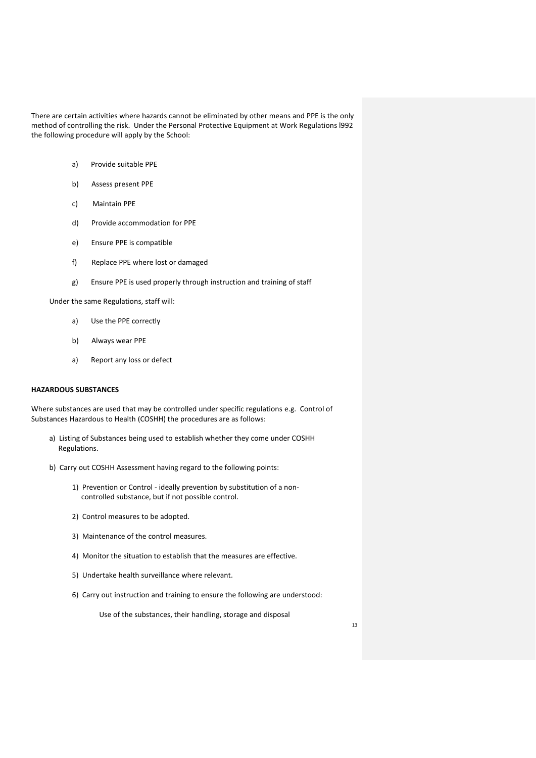There are certain activities where hazards cannot be eliminated by other means and PPE is the only method of controlling the risk. Under the Personal Protective Equipment at Work Regulations l992 the following procedure will apply by the School:

- a) Provide suitable PPE
- b) Assess present PPE
- c) Maintain PPE
- d) Provide accommodation for PPE
- e) Ensure PPE is compatible
- f) Replace PPE where lost or damaged
- g) Ensure PPE is used properly through instruction and training of staff

Under the same Regulations, staff will:

- a) Use the PPE correctly
- b) Always wear PPE
- a) Report any loss or defect

## **HAZARDOUS SUBSTANCES**

Where substances are used that may be controlled under specific regulations e.g. Control of Substances Hazardous to Health (COSHH) the procedures are as follows:

- a) Listing of Substances being used to establish whether they come under COSHH Regulations.
- b) Carry out COSHH Assessment having regard to the following points:
	- 1) Prevention or Control ideally prevention by substitution of a non controlled substance, but if not possible control.
	- 2) Control measures to be adopted.
	- 3) Maintenance of the control measures.
	- 4) Monitor the situation to establish that the measures are effective.
	- 5) Undertake health surveillance where relevant.
	- 6) Carry out instruction and training to ensure the following are understood:

Use of the substances, their handling, storage and disposal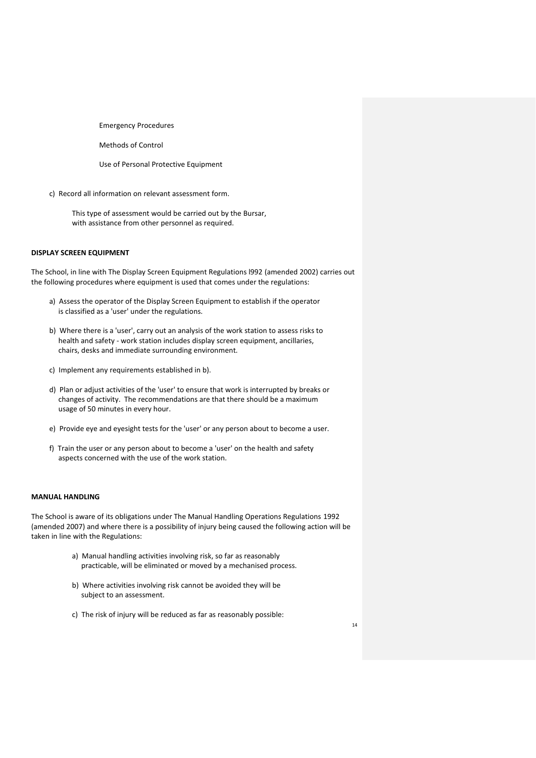Emergency Procedures

Methods of Control

Use of Personal Protective Equipment

c) Record all information on relevant assessment form.

This type of assessment would be carried out by the Bursar, with assistance from other personnel as required.

#### **DISPLAY SCREEN EQUIPMENT**

The School, in line with The Display Screen Equipment Regulations l992 (amended 2002) carries out the following procedures where equipment is used that comes under the regulations:

- a) Assess the operator of the Display Screen Equipment to establish if the operator is classified as a 'user' under the regulations.
- b) Where there is a 'user', carry out an analysis of the work station to assess risks to health and safety - work station includes display screen equipment, ancillaries, chairs, desks and immediate surrounding environment.
- c) Implement any requirements established in b).
- d) Plan or adjust activities of the 'user' to ensure that work is interrupted by breaks or changes of activity. The recommendations are that there should be a maximum usage of 50 minutes in every hour.
- e) Provide eye and eyesight tests for the 'user' or any person about to become a user.
- f) Train the user or any person about to become a 'user' on the health and safety aspects concerned with the use of the work station.

#### **MANUAL HANDLING**

The School is aware of its obligations under The Manual Handling Operations Regulations 1992 (amended 2007) and where there is a possibility of injury being caused the following action will be taken in line with the Regulations:

- a) Manual handling activities involving risk, so far as reasonably practicable, will be eliminated or moved by a mechanised process.
- b) Where activities involving risk cannot be avoided they will be subject to an assessment.
- c) The risk of injury will be reduced as far as reasonably possible: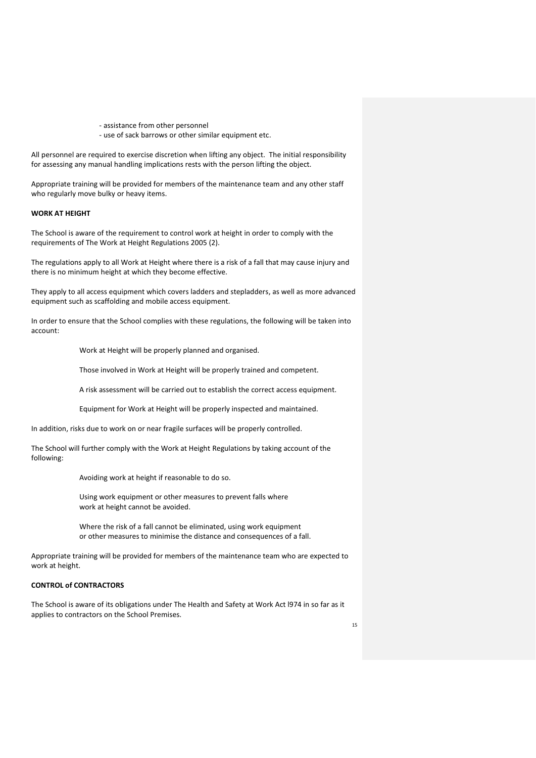- assistance from other personnel
- use of sack barrows or other similar equipment etc.

All personnel are required to exercise discretion when lifting any object. The initial responsibility for assessing any manual handling implications rests with the person lifting the object.

Appropriate training will be provided for members of the maintenance team and any other staff who regularly move bulky or heavy items.

## **WORK AT HEIGHT**

The School is aware of the requirement to control work at height in order to comply with the requirements of The Work at Height Regulations 2005 (2).

The regulations apply to all Work at Height where there is a risk of a fall that may cause injury and there is no minimum height at which they become effective.

They apply to all access equipment which covers ladders and stepladders, as well as more advanced equipment such as scaffolding and mobile access equipment.

In order to ensure that the School complies with these regulations, the following will be taken into account:

Work at Height will be properly planned and organised.

Those involved in Work at Height will be properly trained and competent.

A risk assessment will be carried out to establish the correct access equipment.

Equipment for Work at Height will be properly inspected and maintained.

In addition, risks due to work on or near fragile surfaces will be properly controlled.

The School will further comply with the Work at Height Regulations by taking account of the following:

Avoiding work at height if reasonable to do so.

Using work equipment or other measures to prevent falls where work at height cannot be avoided.

Where the risk of a fall cannot be eliminated, using work equipment or other measures to minimise the distance and consequences of a fall.

Appropriate training will be provided for members of the maintenance team who are expected to work at height.

#### **CONTROL of CONTRACTORS**

The School is aware of its obligations under The Health and Safety at Work Act l974 in so far as it applies to contractors on the School Premises.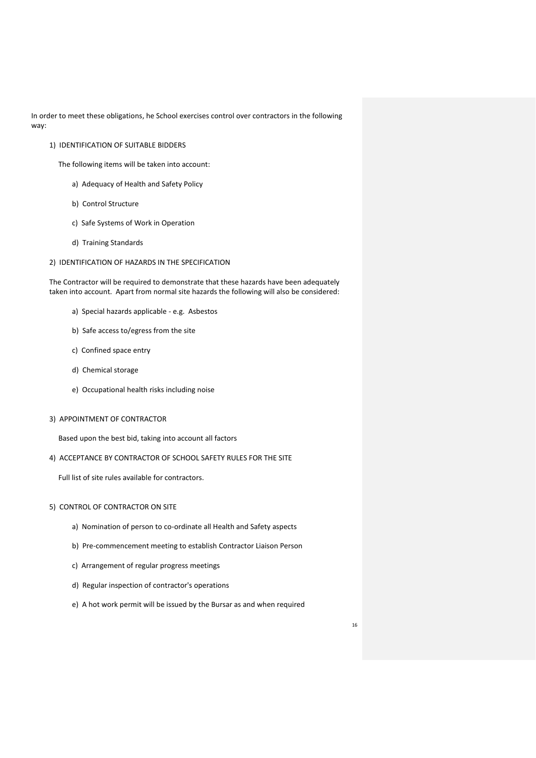In order to meet these obligations, he School exercises control over contractors in the following way:

1) IDENTIFICATION OF SUITABLE BIDDERS

The following items will be taken into account:

- a) Adequacy of Health and Safety Policy
- b) Control Structure
- c) Safe Systems of Work in Operation
- d) Training Standards

## 2) IDENTIFICATION OF HAZARDS IN THE SPECIFICATION

The Contractor will be required to demonstrate that these hazards have been adequately taken into account. Apart from normal site hazards the following will also be considered:

- a) Special hazards applicable e.g. Asbestos
- b) Safe access to/egress from the site
- c) Confined space entry
- d) Chemical storage
- e) Occupational health risks including noise
- 3) APPOINTMENT OF CONTRACTOR

Based upon the best bid, taking into account all factors

4) ACCEPTANCE BY CONTRACTOR OF SCHOOL SAFETY RULES FOR THE SITE

Full list of site rules available for contractors.

## 5) CONTROL OF CONTRACTOR ON SITE

- a) Nomination of person to co-ordinate all Health and Safety aspects
- b) Pre-commencement meeting to establish Contractor Liaison Person
- c) Arrangement of regular progress meetings
- d) Regular inspection of contractor's operations
- e) A hot work permit will be issued by the Bursar as and when required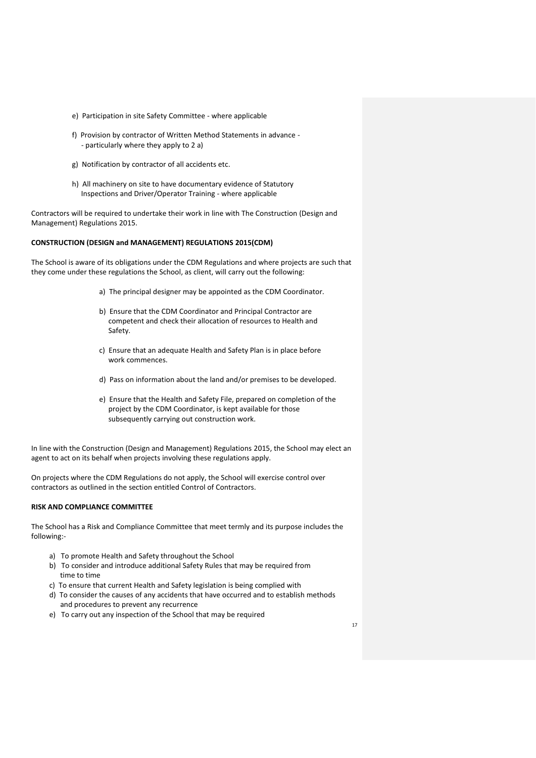- e) Participation in site Safety Committee where applicable
- f) Provision by contractor of Written Method Statements in advance - particularly where they apply to 2 a)
- g) Notification by contractor of all accidents etc.
- h) All machinery on site to have documentary evidence of Statutory Inspections and Driver/Operator Training - where applicable

Contractors will be required to undertake their work in line with The Construction (Design and Management) Regulations 2015.

## **CONSTRUCTION (DESIGN and MANAGEMENT) REGULATIONS 2015(CDM)**

The School is aware of its obligations under the CDM Regulations and where projects are such that they come under these regulations the School, as client, will carry out the following:

- a) The principal designer may be appointed as the CDM Coordinator.
- b) Ensure that the CDM Coordinator and Principal Contractor are competent and check their allocation of resources to Health and Safety.
- c) Ensure that an adequate Health and Safety Plan is in place before work commences.
- d) Pass on information about the land and/or premises to be developed.
- e) Ensure that the Health and Safety File, prepared on completion of the project by the CDM Coordinator, is kept available for those subsequently carrying out construction work.

In line with the Construction (Design and Management) Regulations 2015, the School may elect an agent to act on its behalf when projects involving these regulations apply.

On projects where the CDM Regulations do not apply, the School will exercise control over contractors as outlined in the section entitled Control of Contractors.

#### **RISK AND COMPLIANCE COMMITTEE**

The School has a Risk and Compliance Committee that meet termly and its purpose includes the following:-

- a) To promote Health and Safety throughout the School
- b) To consider and introduce additional Safety Rules that may be required from time to time
- c) To ensure that current Health and Safety legislation is being complied with
- d) To consider the causes of any accidents that have occurred and to establish methods and procedures to prevent any recurrence
- e) To carry out any inspection of the School that may be required